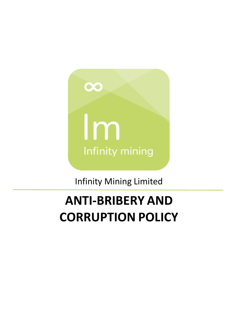

Infinity Mining Limited

# **ANTI-BRIBERY AND CORRUPTION POLICY**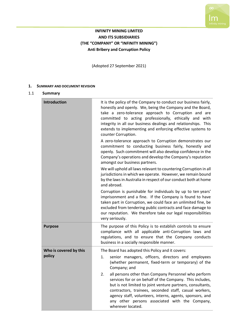

# **INFINITY MINING LIMITED AND ITS SUBSIDIARIES (THE "COMPANY" OR "INFINITY MINING") Anti Bribery and Corruption Policy**

(Adopted 27 September 2021)

#### **1. SUMMARY AND DOCUMENT REVISION**

#### 1.1 **Summary**

| Introduction           | It is the policy of the Company to conduct our business fairly,<br>honestly and openly. We, being the Company and the Board,<br>take a zero-tolerance approach to Corruption and are<br>committed to acting professionally, ethically and with<br>integrity in all our business dealings and relationships. This<br>extends to implementing and enforcing effective systems to<br>counter Corruption. |  |
|------------------------|-------------------------------------------------------------------------------------------------------------------------------------------------------------------------------------------------------------------------------------------------------------------------------------------------------------------------------------------------------------------------------------------------------|--|
|                        | A zero-tolerance approach to Corruption demonstrates our<br>commitment to conducting business fairly, honestly and<br>openly. Such commitment will also develop confidence in the<br>Company's operations and develop the Company's reputation<br>amongst our business partners.                                                                                                                      |  |
|                        | We will uphold all laws relevant to countering Corruption in all<br>jurisdictions in which we operate. However, we remain bound<br>by the laws in Australia in respect of our conduct both at home<br>and abroad.                                                                                                                                                                                     |  |
|                        | Corruption is punishable for individuals by up to ten years'<br>imprisonment and a fine. If the Company is found to have<br>taken part in Corruption, we could face an unlimited fine, be<br>excluded from tendering public contracts and face damage to<br>our reputation. We therefore take our legal responsibilities<br>very seriously.                                                           |  |
| <b>Purpose</b>         | The purpose of this Policy is to establish controls to ensure<br>compliance with all applicable anti-Corruption laws and<br>regulations, and to ensure that the Company conducts<br>business in a socially responsible manner.                                                                                                                                                                        |  |
| Who is covered by this | The Board has adopted this Policy and it covers:                                                                                                                                                                                                                                                                                                                                                      |  |
| policy                 | senior managers, officers, directors and employees<br>1.<br>(whether permanent, fixed-term or temporary) of the<br>Company; and                                                                                                                                                                                                                                                                       |  |
|                        | all persons other than Company Personnel who perform<br>2.<br>services for or on behalf of the Company. This includes,<br>but is not limited to joint venture partners, consultants,<br>contractors, trainees, seconded staff, casual workers,<br>agency staff, volunteers, interns, agents, sponsors, and<br>any other persons associated with the Company,<br>wherever located.                     |  |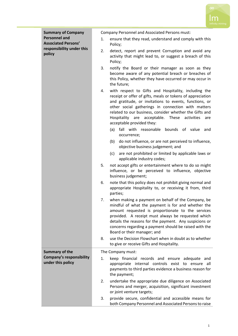

| <b>Summary of Company</b>                            |    | Company Personnel and Associated Persons must:                                                                                                                                                                                                                                                                                                                                             |
|------------------------------------------------------|----|--------------------------------------------------------------------------------------------------------------------------------------------------------------------------------------------------------------------------------------------------------------------------------------------------------------------------------------------------------------------------------------------|
| <b>Personnel and</b><br><b>Associated Persons'</b>   | 1. | ensure that they read, understand and comply with this<br>Policy;                                                                                                                                                                                                                                                                                                                          |
| responsibility under this<br>policy                  | 2. | detect, report and prevent Corruption and avoid any<br>activity that might lead to, or suggest a breach of this<br>Policy;                                                                                                                                                                                                                                                                 |
|                                                      | 3. | notify the Board or their manager as soon as they<br>become aware of any potential breach or breaches of<br>this Policy, whether they have occurred or may occur in<br>the future;                                                                                                                                                                                                         |
|                                                      | 4. | with respect to Gifts and Hospitality, including the<br>receipt or offer of gifts, meals or tokens of appreciation<br>and gratitude, or invitations to events, functions, or<br>other social gatherings in connection with matters<br>related to our business, consider whether the Gifts and<br>Hospitality<br>are acceptable.<br>These<br>activities<br>are<br>acceptable provided they: |
|                                                      |    | fall with reasonable bounds of value<br>and<br>(a)<br>occurrence;                                                                                                                                                                                                                                                                                                                          |
|                                                      |    | do not influence, or are not perceived to influence,<br>(b)<br>objective business judgement; and                                                                                                                                                                                                                                                                                           |
|                                                      |    | are not prohibited or limited by applicable laws or<br>(c)<br>applicable industry codes;                                                                                                                                                                                                                                                                                                   |
|                                                      | 5. | not accept gifts or entertainment where to do so might<br>influence, or be perceived to influence, objective<br>business judgement;                                                                                                                                                                                                                                                        |
|                                                      | 6. | note that this policy does not prohibit giving normal and<br>appropriate Hospitality to, or receiving it from, third<br>parties;                                                                                                                                                                                                                                                           |
|                                                      | 7. | when making a payment on behalf of the Company, be<br>mindful of what the payment is for and whether the<br>amount requested is proportionate to the services<br>provided. A receipt must always be requested which<br>details the reasons for the payment. Any suspicions or<br>concerns regarding a payment should be raised with the<br>Board or their manager; and                     |
|                                                      | 8. | use the Decision Flowchart when in doubt as to whether<br>to give or receive Gifts and Hospitality.                                                                                                                                                                                                                                                                                        |
| <b>Summary of the</b>                                |    | The Company must:                                                                                                                                                                                                                                                                                                                                                                          |
| <b>Company's responsibility</b><br>under this policy | 1. | keep financial records and ensure adequate and<br>appropriate internal controls exist to ensure all<br>payments to third parties evidence a business reason for<br>the payment;                                                                                                                                                                                                            |
|                                                      | 2. | undertake the appropriate due diligence on Associated<br>Persons and merger, acquisition, significant investment<br>or joint venture targets;                                                                                                                                                                                                                                              |
|                                                      | 3. | provide secure, confidential and accessible means for<br>both Company Personnel and Associated Persons to raise                                                                                                                                                                                                                                                                            |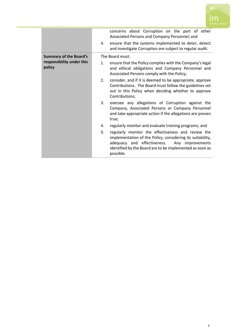

|                                                                      | concerns about Corruption on the part of other<br>Associated Persons and Company Personnel; and<br>ensure that the systems implemented to deter, detect<br>4.<br>and investigate Corruption are subject to regular audit.                       |
|----------------------------------------------------------------------|-------------------------------------------------------------------------------------------------------------------------------------------------------------------------------------------------------------------------------------------------|
| <b>Summary of the Board's</b><br>responsibility under this<br>policy | The Board must:                                                                                                                                                                                                                                 |
|                                                                      | ensure that the Policy complies with the Company's legal<br>1.<br>and ethical obligations and Company Personnel and<br>Associated Persons comply with the Policy;                                                                               |
|                                                                      | consider, and if it is deemed to be appropriate, approve<br>2.<br>Contributions. The Board must follow the guidelines set<br>out in this Policy when deciding whether to approve<br>Contributions;                                              |
|                                                                      | 3.<br>oversee any allegations of Corruption against the<br>Company, Associated Persons or Company Personnel<br>and take appropriate action if the allegations are proven<br>true;                                                               |
|                                                                      | regularly monitor and evaluate training programs; and<br>4.                                                                                                                                                                                     |
|                                                                      | 5.<br>regularly monitor the effectiveness and review the<br>implementation of the Policy, considering its suitability,<br>adequacy and effectiveness. Any improvements<br>identified by the Board are to be implemented as soon as<br>possible. |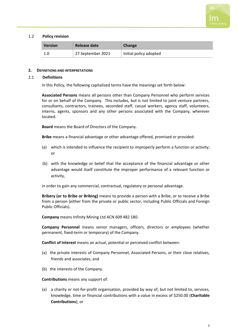

#### 1.2 **Policy revision**

| <b>Version</b> | Release date      | Change                 |
|----------------|-------------------|------------------------|
|                | 27 September 2021 | Initial policy adopted |

#### **2. DEFINITIONS AND INTERPRETATIONS**

#### 2.1 **Definitions**

In this Policy, the following capitalised terms have the meanings set forth below:

**Associated Persons** means all persons other than Company Personnel who perform services for or on behalf of the Company. This includes, but is not limited to joint venture partners, consultants, contractors, trainees, seconded staff, casual workers, agency staff, volunteers, interns, agents, sponsors and any other persons associated with the Company, wherever located.

**Board** means the Board of Directors of the Company.

**Bribe** means a financial advantage or other advantage offered, promised or provided:

- (a) which is intended to influence the recipient to improperly perform a function or activity; or
- (b) with the knowledge or belief that the acceptance of the financial advantage or other advantage would itself constitute the improper performance of a relevant function or activity,

in order to gain any commercial, contractual, regulatory or personal advantage.

**Bribery (or to Bribe or Bribing)** means to provide a person with a Bribe, or to receive a Bribe from a person (either from the private or public sector, including Public Officials and Foreign Public Officials).

**Company** means Infinity Mining Ltd ACN 609 482 180.

**Company Personnel** means senior managers, officers, directors or employees (whether permanent, fixed-term or temporary) of the Company.

**Conflict of Interest** means an actual, potential or perceived conflict between:

- (a) the private interests of Company Personnel, Associated Persons, or their close relatives, friends and associates; and
- (b) the interests of the Company.

**Contributions** means any support of:

(a) a charity or not-for-profit organisation, provided by way of, but not limited to, services, knowledge, time or financial contributions with a value in excess of \$250.00 (**Charitable Contributions**); or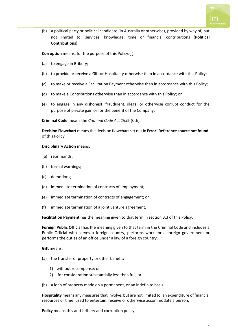

(b) a political party or political candidate (in Australia or otherwise), provided by way of, but not limited to, services, knowledge, time or financial contributions (**Political Contributions**).

**Corruption** means, for the purpose of this Policy:( )

- (a) to engage in Bribery;
- (b) to provide or receive a Gift or Hospitality otherwise than in accordance with this Policy;
- (c) to make or receive a Facilitation Payment otherwise than in accordance with this Policy;
- (d) to make a Contributions otherwise than in accordance with this Policy; or
- (e) to engage in any dishonest, fraudulent, illegal or otherwise corrupt conduct for the purpose of private gain or for the benefit of the Company.

**Criminal Code** means the *Criminal Code Act 1995* (Cth).

**Decision Flowchart** means the decision flowchart set out in **Error! Reference source not found.** of this Policy.

#### **Disciplinary Action** means:

- (a) reprimands;
- (b) formal warnings;
- (c) demotions;
- (d) immediate termination of contracts of employment;
- (e) immediate termination of contracts of engagement; or
- (f) immediate termination of a joint venture agreement.

**Facilitation Payment** has the meaning given to that term in section [3.3](#page-6-0) of this Policy.

**Foreign Public Official** has the meaning given to that term in the Criminal Code and includes a Public Official who serves a foreign country, performs work for a foreign government or performs the duties of an office under a law of a foreign country.

**Gift** means:

- (a) the transfer of property or other benefit:
	- 1) without recompense; or
	- 2) for consideration substantially less than full; or
- (b) a loan of property made on a permanent, or an indefinite basis.

**Hospitality** means any measures that involve, but are not limited to, an expenditure of financial resources or time, used to entertain, receive or otherwise accommodate a person.

**Policy** means this anti-bribery and corruption policy.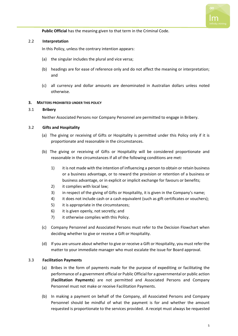

**Public Official** has the meaning given to that term in the Criminal Code.

#### 2.2 **Interpretation**

In this Policy, unless the contrary intention appears:

- (a) the singular includes the plural and vice versa;
- (b) headings are for ease of reference only and do not affect the meaning or interpretation; and
- (c) all currency and dollar amounts are denominated in Australian dollars unless noted otherwise.

#### **3. MATTERS PROHIBITED UNDER THIS POLICY**

#### 3.1 **Bribery**

Neither Associated Persons nor Company Personnel are permitted to engage in Bribery.

#### 3.2 **Gifts and Hospitality**

- (a) The giving or receiving of Gifts or Hospitality is permitted under this Policy only if it is proportionate and reasonable in the circumstances.
- (b) The giving or receiving of Gifts or Hospitality will be considered proportionate and reasonable in the circumstances if all of the following conditions are met:
	- 1) it is not made with the intention of influencing a person to obtain or retain business or a business advantage, or to reward the provision or retention of a business or business advantage, or in explicit or implicit exchange for favours or benefits;
	- 2) it complies with local law;
	- 3) in respect of the giving of Gifts or Hospitality, it is given in the Company's name;
	- 4) it does not include cash or a cash equivalent (such as gift certificates or vouchers);
	- 5) it is appropriate in the circumstances;
	- 6) it is given openly, not secretly; and
	- 7) it otherwise complies with this Policy.
- (c) Company Personnel and Associated Persons must refer to the Decision Flowchart when deciding whether to give or receive a Gift or Hospitality.
- (d) If you are unsure about whether to give or receive a Gift or Hospitality, you must refer the matter to your immediate manager who must escalate the issue for Board approval.

#### <span id="page-6-0"></span>3.3 **Facilitation Payments**

- (a) Bribes in the form of payments made for the purpose of expediting or facilitating the performance of a government official or Public Official for a governmental or public action (**Facilitation Payments**) are not permitted and Associated Persons and Company Personnel must not make or receive Facilitation Payments.
- (b) In making a payment on behalf of the Company, all Associated Persons and Company Personnel should be mindful of what the payment is for and whether the amount requested is proportionate to the services provided. A receipt must always be requested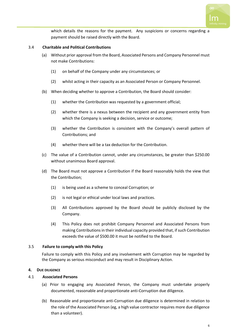

which details the reasons for the payment. Any suspicions or concerns regarding a payment should be raised directly with the Board.

#### 3.4 **Charitable and Political Contributions**

- (a) Without prior approval from the Board, Associated Persons and Company Personnel must not make Contributions:
	- (1) on behalf of the Company under any circumstances; or
	- (2) whilst acting in their capacity as an Associated Person or Company Personnel.
- (b) When deciding whether to approve a Contribution, the Board should consider:
	- (1) whether the Contribution was requested by a government official;
	- (2) whether there is a nexus between the recipient and any government entity from which the Company is seeking a decision, service or outcome;
	- (3) whether the Contribution is consistent with the Company's overall pattern of Contributions; and
	- (4) whether there will be a tax deduction for the Contribution.
- (c) The value of a Contribution cannot, under any circumstances, be greater than \$250.00 without unanimous Board approval.
- (d) The Board must not approve a Contribution if the Board reasonably holds the view that the Contribution;
	- (1) is being used as a scheme to conceal Corruption; or
	- (2) is not legal or ethical under local laws and practices.
	- (3) All Contributions approved by the Board should be publicly disclosed by the Company.
	- (4) This Policy does not prohibit Company Personnel and Associated Persons from making Contributions in their individual capacity provided that, if such Contribution exceeds the value of \$500.00 it must be notified to the Board.

#### 3.5 **Failure to comply with this Policy**

Failure to comply with this Policy and any involvement with Corruption may be regarded by the Company as serious misconduct and may result in Disciplinary Action.

#### **4. DUE DILIGENCE**

#### 4.1 **Associated Persons**

- (a) Prior to engaging any Associated Person, the Company must undertake properly documented, reasonable and proportionate anti-Corruption due diligence.
- (b) Reasonable and proportionate anti-Corruption due diligence is determined in relation to the role of the Associated Person (eg, a high value contractor requires more due diligence than a volunteer).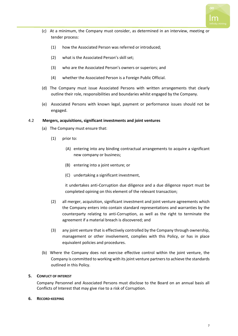

- (c) At a minimum, the Company must consider, as determined in an interview, meeting or tender process:
	- (1) how the Associated Person was referred or introduced;
	- (2) what is the Associated Person's skill set;
	- (3) who are the Associated Person's owners or superiors; and
	- (4) whether the Associated Person is a Foreign Public Official.
- (d) The Company must issue Associated Persons with written arrangements that clearly outline their role, responsibilities and boundaries whilst engaged by the Company.
- (e) Associated Persons with known legal, payment or performance issues should not be engaged.

#### 4.2 **Mergers, acquisitions, significant investments and joint ventures**

- (a) The Company must ensure that:
	- (1) prior to:
		- (A) entering into any binding contractual arrangements to acquire a significant new company or business;
		- (B) entering into a joint venture; or
		- (C) undertaking a significant investment,

it undertakes anti-Corruption due diligence and a due diligence report must be completed opining on this element of the relevant transaction;

- (2) all merger, acquisition, significant investment and joint venture agreements which the Company enters into contain standard representations and warranties by the counterparty relating to anti-Corruption, as well as the right to terminate the agreement if a material breach is discovered; and
- (3) any joint venture that is effectively controlled by the Company through ownership, management or other involvement, complies with this Policy, or has in place equivalent policies and procedures.
- (b) Where the Company does not exercise effective control within the joint venture, the Company is committed to working with its joint venture partners to achieve the standards outlined in this Policy.

#### **5. CONFLICT OF INTEREST**

Company Personnel and Associated Persons must disclose to the Board on an annual basis all Conflicts of Interest that may give rise to a risk of Corruption.

#### **6. RECORD-KEEPING**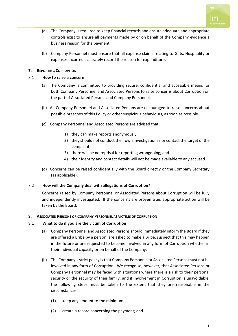

- (a) The Company is required to keep financial records and ensure adequate and appropriate controls exist to ensure all payments made by or on behalf of the Company evidence a business reason for the payment.
- (b) Company Personnel must ensure that all expense claims relating to Gifts, Hospitality or expenses incurred accurately record the reason for expenditure.

# **7. REPORTING CORRUPTION**

# 7.1 **How to raise a concern**

- (a) The Company is committed to providing secure, confidential and accessible means for both Company Personnel and Associated Persons to raise concerns about Corruption on the part of Associated Persons and Company Personnel.
- (b) All Company Personnel and Associated Persons are encouraged to raise concerns about possible breaches of this Policy or other suspicious behaviours, as soon as possible.
- (c) Company Personnel and Associated Persons are advised that:
	- 1) they can make reports anonymously;
	- 2) they should not conduct their own investigations nor contact the target of the complaint;
	- 3) there will be no reprisal for reporting wrongdoing; and
	- 4) their identity and contact details will not be made available to any accused.
- (d) Concerns can be raised confidentially with the Board directly or the Company Secretary (as applicable).

# 7.2 **How will the Company deal with allegations of Corruption?**

Concerns raised by Company Personnel or Associated Persons about Corruption will be fully and independently investigated. If the concerns are proven true, appropriate action will be taken by the Board.

# **8. ASSOCIATED PERSONS OR COMPANY PERSONNEL AS VICTIMS OF CORRUPTION**

# 8.1 **What to do if you are the victim of Corruption**

- (a) Company Personnel and Associated Persons should immediately inform the Board if they are offered a Bribe by a person, are asked to make a Bribe, suspect that this may happen in the future or are requested to become involved in any form of Corruption whether in their individual capacity or on behalf of the Company.
- (b) The Company's strict policy is that Company Personnel or Associated Persons must not be involved in any form of Corruption. We recognise, however, that Associated Persons or Company Personnel may be faced with situations where there is a risk to their personal security or the security of their family, and if involvement in Corruption is unavoidable, the following steps must be taken to the extent that they are reasonable in the circumstances:
	- (1) keep any amount to the minimum;
	- (2) create a record concerning the payment; and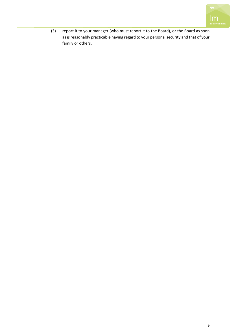

(3) report it to your manager (who must report it to the Board), or the Board as soon as is reasonably practicable having regard to your personal security and that of your family or others.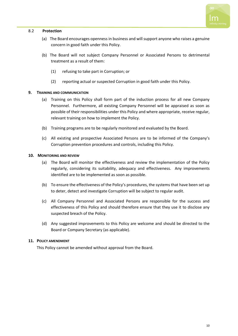

### 8.2 **Protection**

- (a) The Board encourages openness in business and will support anyone who raises a genuine concern in good faith under this Policy.
- (b) The Board will not subject Company Personnel or Associated Persons to detrimental treatment as a result of them:
	- (1) refusing to take part in Corruption; or
	- (2) reporting actual or suspected Corruption in good faith under this Policy.

#### **9. TRAINING AND COMMUNICATION**

- (a) Training on this Policy shall form part of the induction process for all new Company Personnel. Furthermore, all existing Company Personnel will be appraised as soon as possible of their responsibilities under this Policy and where appropriate, receive regular, relevant training on how to implement the Policy.
- (b) Training programs are to be regularly monitored and evaluated by the Board.
- (c) All existing and prospective Associated Persons are to be informed of the Company's Corruption prevention procedures and controls, including this Policy.

#### **10. MONITORING AND REVIEW**

- (a) The Board will monitor the effectiveness and review the implementation of the Policy regularly, considering its suitability, adequacy and effectiveness. Any improvements identified are to be implemented as soon as possible.
- (b) To ensure the effectiveness of the Policy's procedures, the systems that have been set up to deter, detect and investigate Corruption will be subject to regular audit.
- (c) All Company Personnel and Associated Persons are responsible for the success and effectiveness of this Policy and should therefore ensure that they use it to disclose any suspected breach of the Policy.
- (d) Any suggested improvements to this Policy are welcome and should be directed to the Board or Company Secretary (as applicable).

#### **11. POLICY AMENDMENT**

This Policy cannot be amended without approval from the Board.